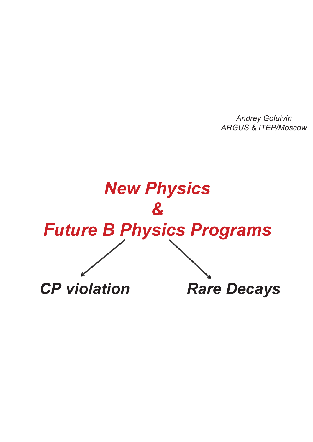*Andrey Golutvin ARGUS & ITEP/Moscow*

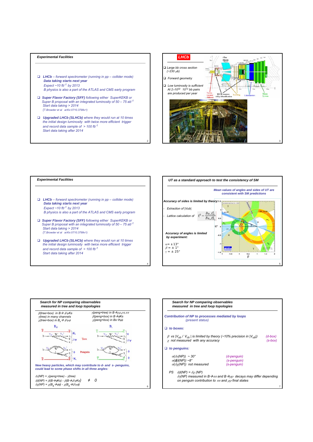## *Experimental Facilities*

- *LHCb forward spectrometer (running in pp collider mode) Data taking starts next year Expect ~10 fb-1 by 2013 B physics is also a part of the ATLAS and CMS early program*
- *Super Flavor Factory (SFF) following either SuperKEKB or Super B proposal with an integrated luminosity of 50 – 75 ab-1 Start data taking > 2014 (T.Browder et al arXiv:0710.3799v1)*
- *Upgraded LHCb (SLHCb) where they would run at 10 times the initial design luminosity with twice more efficient trigger and record data sample of > 100 fb-1 Start data taking after 2014*





2

4





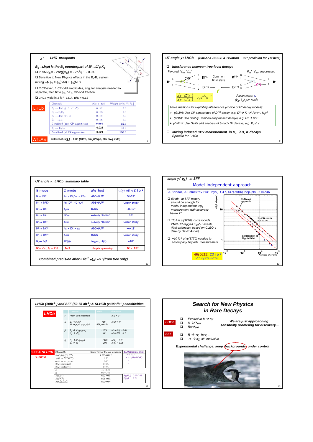| $\chi$ :                                            | <b>LHC</b> prospects                                                                                                                                                                                                                                                                                                                             |                          |                                  |   |  |
|-----------------------------------------------------|--------------------------------------------------------------------------------------------------------------------------------------------------------------------------------------------------------------------------------------------------------------------------------------------------------------------------------------------------|--------------------------|----------------------------------|---|--|
|                                                     | $B_{\rm c} \rightarrow J/\psi \phi$ is the $B_{\rm c}$ counterpart of $B^0 \rightarrow J/\psi K_{\rm c}$<br><b>□</b> In SM $\phi_{\rm c}$ = - 2arg( $V_{\rm re}$ ) = - 2 $\Lambda^2$ m ~ - 0.04<br>$\Box$ Sensitive to New Physics effects in the B <sub>s</sub> -B <sub>s</sub> system<br>mixing $\rightarrow \phi_s = \phi_s(SM) + \phi_s(NP)$ |                          |                                  |   |  |
|                                                     | $\Box$ 2 CP-even, 1 CP-odd amplitudes, angular analysis needed to<br>separate, then fit to $\phi_{\rm S}$ , $\Delta\Gamma_{\rm S}$ , CP-odd fraction                                                                                                                                                                                             |                          |                                  |   |  |
| □ LHCb yield in 2 fb <sup>-1</sup> 131k, B/S = 0.12 |                                                                                                                                                                                                                                                                                                                                                  |                          |                                  |   |  |
|                                                     | <b>Channels</b>                                                                                                                                                                                                                                                                                                                                  | $\sigma(\phi_s)$ [ rad ] | Weight $(\sigma/\sigma_i)^2$ [ % |   |  |
| <b>LHC<sub>b</sub></b>                              | $B_s \rightarrow J/\psi \eta (\pi^+ \pi^- \pi^0)$                                                                                                                                                                                                                                                                                                | 0.142                    | 2.3                              |   |  |
|                                                     | $B_4 \rightarrow D_4D_4$                                                                                                                                                                                                                                                                                                                         | 0.133                    | 2.6                              |   |  |
|                                                     | $B_s \rightarrow J/\psi \eta(\gamma \gamma)$                                                                                                                                                                                                                                                                                                     | 0.109                    | 3.9                              |   |  |
|                                                     | $B_4 \rightarrow \eta_c \phi$                                                                                                                                                                                                                                                                                                                    | 0.108                    | 3.9                              |   |  |
|                                                     | Combined (pure CP eigenstates)                                                                                                                                                                                                                                                                                                                   | 0.060                    | 12.7                             |   |  |
|                                                     | $B_s \rightarrow J/\psi \phi$                                                                                                                                                                                                                                                                                                                    | 0.021                    | 87.3                             |   |  |
|                                                     | Combined (all CP eigenstates)                                                                                                                                                                                                                                                                                                                    | 0.021                    | 100.0                            |   |  |
| <b>ATLAS</b>                                        | will reach $s(\phi_c) \sim 0.08$ (10/fb, $\Delta m_c = 20$ /ps, 90k J/we evts)                                                                                                                                                                                                                                                                   |                          |                                  | 8 |  |



| <b>B</b> mode                                        | D mode                           | Method          | $\sigma(\gamma)$ with 2 fb-1 |
|------------------------------------------------------|----------------------------------|-----------------|------------------------------|
| $B^+\rightarrow DK^+$                                | $K\pi$ + $KK/\pi\pi$ + $K3\pi$   | ADS+GLW         | $5^{\circ} - 13^{\circ}$     |
| $B^+ \rightarrow D^*K^+$                             | $K\pi$ (D <sup>*</sup> → D+π, γ) | ADS+GLW         | Under study                  |
| $B^+ \rightarrow DK^+$                               | $K_{\rm s} \pi \pi$              | Dalitz          | $-8-12^{\circ}$              |
| $B^* \rightarrow DK^*$                               | $KK\pi\pi$                       | 4-body "Dalitz" | 18°                          |
| $B^* \rightarrow DK^*$                               | KTUTCH                           | 4-body "Dalitz" | Under study                  |
| $B^0 \rightarrow DK^{*0}$                            | $K\pi$ + $KK$ + $\pi\pi$         | ADS+GLW         | $~12^{\circ}$                |
| $B^0 \rightarrow DK^{*0}$                            | $K_{\rm s} \pi \pi$              | Dalitz          | Under study                  |
| $B_s \rightarrow D_s K$                              | $KK(\phi)\pi$                    | tagged, A(t)    | $~10^{\circ}$                |
| $B^0 \rightarrow \pi^+\pi^-, B_c \rightarrow K^+K^-$ | N/A                              | U-spin symmetry | $5^{\circ} - 10^{\circ}$     |





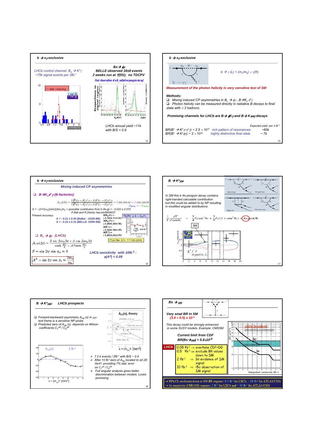